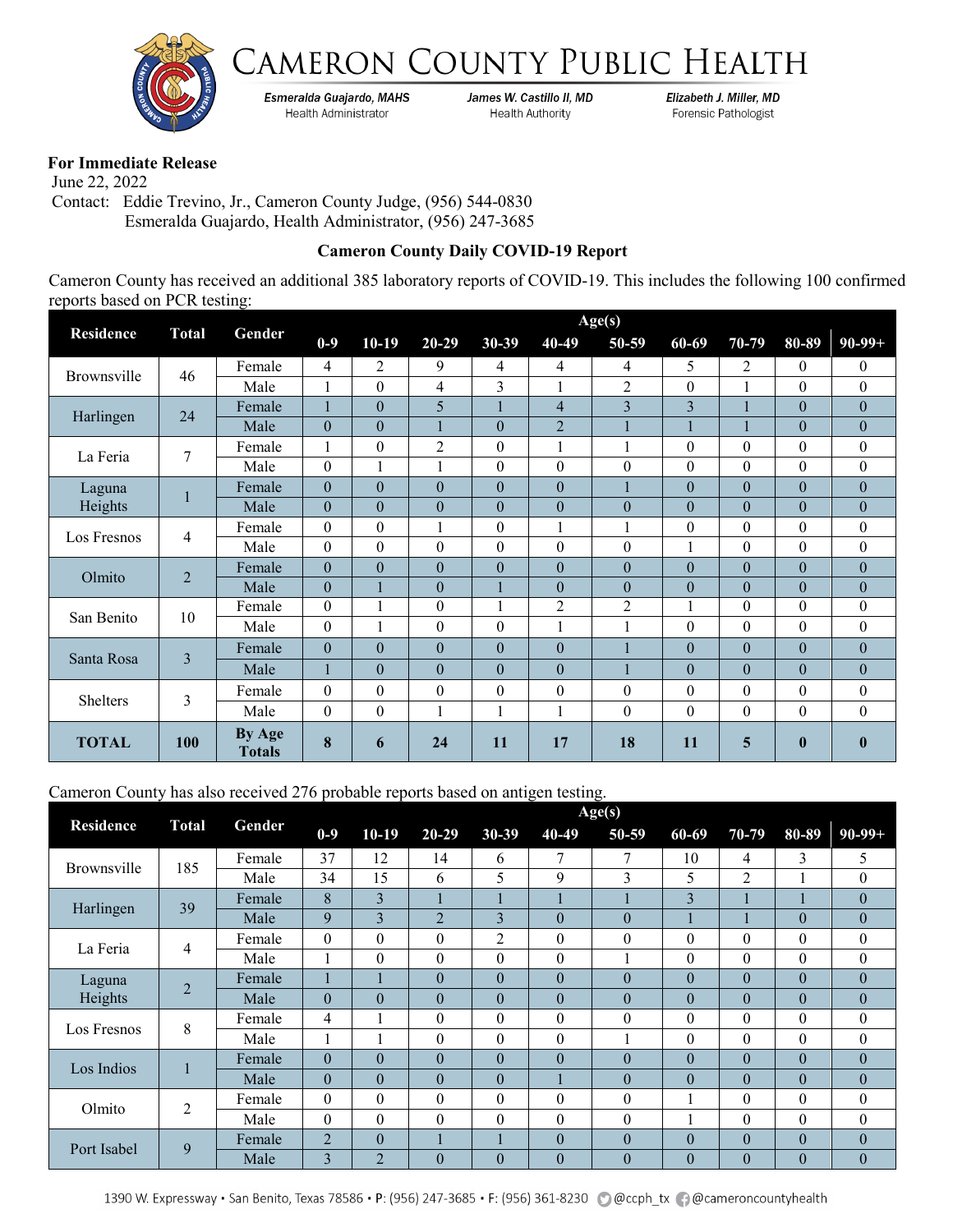



Esmeralda Guajardo, MAHS Health Administrator

James W. Castillo II, MD **Health Authority** 

Elizabeth J. Miller, MD Forensic Pathologist

## **For Immediate Release**

 June 22, 2022 Contact: Eddie Trevino, Jr., Cameron County Judge, (956) 544-0830 Esmeralda Guajardo, Health Administrator, (956) 247-3685

## **Cameron County Daily COVID-19 Report**

Cameron County has received an additional 385 laboratory reports of COVID-19. This includes the following 100 confirmed reports based on PCR testing:

|                   |                | Age(s)<br>Gender        |                  |                  |                  |                  |                  |                |                         |                  |                  |                  |
|-------------------|----------------|-------------------------|------------------|------------------|------------------|------------------|------------------|----------------|-------------------------|------------------|------------------|------------------|
| <b>Residence</b>  | <b>Total</b>   |                         | $0-9$            | $10-19$          | $20 - 29$        | $30 - 39$        | 40-49            | 50-59          | 60-69                   | 70-79            | 80-89            | $90-99+$         |
|                   | 46             | Female                  | 4                | $\overline{2}$   | 9                | 4                | 4                | $\overline{4}$ | 5                       | $\overline{2}$   | $\mathbf{0}$     | $\theta$         |
| Brownsville       |                | Male                    | 1                | $\theta$         | 4                | 3                |                  | $\overline{2}$ | $\theta$                | 1                | $\theta$         | $\boldsymbol{0}$ |
| Harlingen         | 24             | Female                  |                  | $\theta$         | 5                |                  | 4                | $\overline{3}$ | $\overline{\mathbf{3}}$ |                  | $\mathbf{0}$     | $\boldsymbol{0}$ |
|                   |                | Male                    | $\boldsymbol{0}$ | $\theta$         | $\mathbf{1}$     | $\theta$         | $\overline{2}$   |                | 1                       | 1                | $\theta$         | $\boldsymbol{0}$ |
| La Feria          | 7              | Female                  |                  | $\theta$         | $\overline{2}$   | $\theta$         |                  |                | $\theta$                | $\theta$         | $\theta$         | $\boldsymbol{0}$ |
|                   |                | Male                    | $\mathbf{0}$     |                  |                  | $\theta$         | $\theta$         | $\theta$       | $\theta$                | $\theta$         | $\mathbf{0}$     | $\boldsymbol{0}$ |
| Laguna<br>Heights |                | Female                  | $\boldsymbol{0}$ | $\theta$         | $\mathbf{0}$     | $\theta$         | $\overline{0}$   |                | $\boldsymbol{0}$        | $\boldsymbol{0}$ | $\mathbf{0}$     | $\mathbf{0}$     |
|                   |                | Male                    | $\theta$         | $\Omega$         | $\theta$         | $\theta$         | $\overline{0}$   | $\theta$       | $\theta$                | $\theta$         | $\overline{0}$   | $\boldsymbol{0}$ |
| Los Fresnos       | 4              | Female                  | $\theta$         | $\theta$         | $\mathbf{1}$     | $\theta$         |                  |                | $\mathbf{0}$            | $\theta$         | $\theta$         | $\boldsymbol{0}$ |
|                   |                | Male                    | $\boldsymbol{0}$ | $\boldsymbol{0}$ | $\boldsymbol{0}$ | $\boldsymbol{0}$ | $\boldsymbol{0}$ | $\theta$       | 1                       | $\boldsymbol{0}$ | $\boldsymbol{0}$ | $\boldsymbol{0}$ |
| Olmito            | $\overline{2}$ | Female                  | $\theta$         | $\theta$         | $\theta$         | $\theta$         | $\overline{0}$   | $\theta$       | $\theta$                | $\theta$         | $\theta$         | $\boldsymbol{0}$ |
|                   |                | Male                    | $\theta$         |                  | $\boldsymbol{0}$ |                  | $\overline{0}$   | $\theta$       | $\boldsymbol{0}$        | $\theta$         | $\theta$         | $\theta$         |
| San Benito        | 10             | Female                  | $\theta$         |                  | $\boldsymbol{0}$ |                  | $\overline{c}$   | $\overline{c}$ |                         | $\theta$         | $\theta$         | $\theta$         |
|                   |                | Male                    | $\theta$         | 1                | $\theta$         | $\theta$         |                  |                | $\theta$                | $\theta$         | $\theta$         | $\boldsymbol{0}$ |
| Santa Rosa        | 3              | Female                  | $\boldsymbol{0}$ | $\theta$         | $\theta$         | $\theta$         | $\overline{0}$   |                | $\theta$                | $\overline{0}$   | $\theta$         | $\overline{0}$   |
|                   |                | Male                    | 1                | $\theta$         | $\theta$         | $\theta$         | $\boldsymbol{0}$ |                | $\theta$                | $\theta$         | $\overline{0}$   | $\boldsymbol{0}$ |
|                   | 3              | Female                  | $\boldsymbol{0}$ | $\theta$         | $\boldsymbol{0}$ | $\theta$         | $\theta$         | $\theta$       | $\theta$                | $\theta$         | $\theta$         | $\boldsymbol{0}$ |
| Shelters          |                | Male                    | $\theta$         | $\theta$         | 1                | 1                |                  | $\Omega$       | $\theta$                | $\theta$         | $\theta$         | $\theta$         |
| <b>TOTAL</b>      | 100            | By Age<br><b>Totals</b> | 8                | 6                | 24               | 11               | 17               | 18             | 11                      | 5                | $\bf{0}$         | $\bf{0}$         |

## Cameron County has also received 276 probable reports based on antigen testing.

|                  |                |        | Age(s)           |                |                |           |                  |                |          |                |          |                  |  |
|------------------|----------------|--------|------------------|----------------|----------------|-----------|------------------|----------------|----------|----------------|----------|------------------|--|
| <b>Residence</b> | <b>Total</b>   | Gender | $0-9$            | $10-19$        | $20 - 29$      | $30 - 39$ | 40-49            | 50-59          | 60-69    | 70-79          | 80-89    | $90-99+$         |  |
| Brownsville      | 185            | Female | 37               | 12             | 14             | 6         | 7                | 7              | 10       | 4              | 3        | 5                |  |
|                  |                | Male   | 34               | 15             | 6              | 5         | 9                | 3              | 5        | $\overline{2}$ |          | $\boldsymbol{0}$ |  |
| Harlingen        | 39             | Female | 8                | 3              |                |           |                  |                | 3        |                |          | $\boldsymbol{0}$ |  |
|                  |                | Male   | 9                | $\overline{3}$ | $\overline{2}$ | 3         | $\overline{0}$   | $\overline{0}$ |          |                | $\theta$ | $\boldsymbol{0}$ |  |
|                  | 4              | Female | $\theta$         | $\theta$       | $\theta$       | 2         | $\theta$         | $\theta$       | $\theta$ | $\theta$       | $\theta$ | $\boldsymbol{0}$ |  |
| La Feria         |                | Male   |                  | $\theta$       | $\theta$       | $\theta$  | $\boldsymbol{0}$ |                | $\theta$ | $\theta$       | $\theta$ | $\boldsymbol{0}$ |  |
| Laguna           | $\overline{2}$ | Female |                  |                | $\mathbf{0}$   | $\theta$  | $\overline{0}$   | $\theta$       | $\theta$ | $\theta$       | $\theta$ | $\mathbf{0}$     |  |
| Heights          |                | Male   | $\mathbf{0}$     | $\theta$       | $\mathbf{0}$   | $\theta$  | $\overline{0}$   | $\theta$       | $\theta$ | $\mathbf{0}$   | $\theta$ | $\mathbf{0}$     |  |
| Los Fresnos      | 8              | Female | 4                | 1              | $\theta$       | $\theta$  | 0                | $\theta$       | $\theta$ | $\theta$       | $\theta$ | $\mathbf{0}$     |  |
|                  |                | Male   | -1               | $\mathbf{I}$   | $\theta$       | $\theta$  | 0                |                | $\theta$ | $\theta$       | $\theta$ | $\theta$         |  |
| Los Indios       |                | Female | $\theta$         | $\theta$       | $\theta$       | $\theta$  | $\theta$         | $\theta$       | $\theta$ | $\theta$       | $\theta$ | $\theta$         |  |
|                  |                | Male   | $\boldsymbol{0}$ | $\theta$       | $\theta$       | $\theta$  |                  | $\overline{0}$ | $\theta$ | $\theta$       | $\theta$ | $\boldsymbol{0}$ |  |
| Olmito           | $\overline{2}$ | Female | $\boldsymbol{0}$ | $\theta$       | $\theta$       | $\theta$  | $\theta$         | $\theta$       |          | $\theta$       | $\theta$ | $\boldsymbol{0}$ |  |
|                  |                | Male   | $\boldsymbol{0}$ | $\theta$       | $\theta$       | $\theta$  | $\theta$         | $\theta$       |          | $\theta$       | $\theta$ | $\theta$         |  |
| Port Isabel      | 9              | Female | $\overline{2}$   | $\Omega$       |                |           | $\theta$         | $\Omega$       | $\theta$ | $\theta$       | $\theta$ | $\theta$         |  |
|                  |                | Male   | 3                | $\overline{2}$ | $\theta$       | $\Omega$  | $\theta$         | $\Omega$       | $\Omega$ | $\theta$       | $\theta$ | $\theta$         |  |